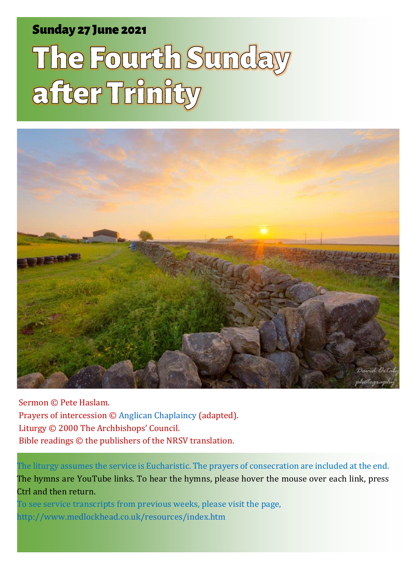# Sunday 27 June 2021 1 The Fourth Sunday after Trinity and Sunday after Trinity and Sunday after Trinity and Su

# The Fourth Sunday after Trinity



Sermon © Pete Haslam. Prayers of intercession © [Anglican Chaplaincy](https://costablanca-anglicanchaplaincy.org/prayers-and-intercessions/) (adapted). Liturgy © 2000 The Archbishops' Council. Bible readings © the publishers of the NRSV translation.

The liturgy assumes the service is Eucharistic. The prayers of consecration are included at the end. The hymns are YouTube links. To hear the hymns, please hover the mouse over each link, press Ctrl and then return.

To see service transcripts from previous weeks, please visit the page, <http://www.medlockhead.co.uk/resources/index.htm>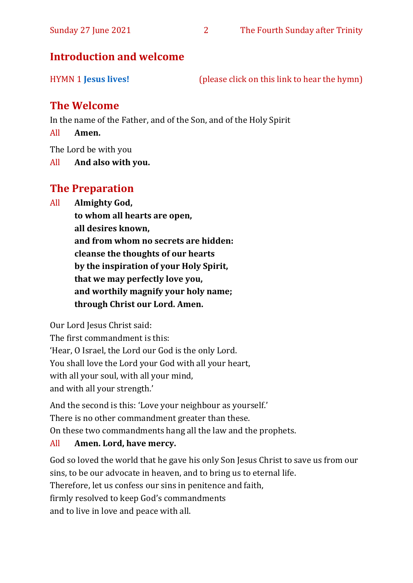# **Introduction and welcome**

| <b>HYMN 1 Jesus lives!</b> | (please click on this link to hear the hymn) |  |
|----------------------------|----------------------------------------------|--|

# **The Welcome**

In the name of the Father, and of the Son, and of the Holy Spirit

All **Amen.**

The Lord be with you

All **And also with you.**

# **The Preparation**

All **Almighty God,**

**to whom all hearts are open, all desires known, and from whom no secrets are hidden: cleanse the thoughts of our hearts by the inspiration of your Holy Spirit, that we may perfectly love you, and worthily magnify your holy name; through Christ our Lord. Amen.**

Our Lord Jesus Christ said:

The first commandment is this: 'Hear, O Israel, the Lord our God is the only Lord. You shall love the Lord your God with all your heart, with all your soul, with all your mind, and with all your strength.'

And the second is this: 'Love your neighbour as yourself.' There is no other commandment greater than these. On these two commandments hang all the law and the prophets.

#### All **Amen. Lord, have mercy.**

God so loved the world that he gave his only Son Jesus Christ to save us from our sins, to be our advocate in heaven, and to bring us to eternal life. Therefore, let us confess our sins in penitence and faith, firmly resolved to keep God's commandments and to live in love and peace with all.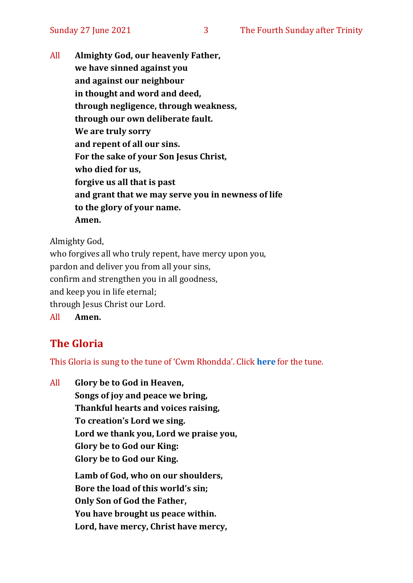All **Almighty God, our heavenly Father, we have sinned against you and against our neighbour in thought and word and deed, through negligence, through weakness, through our own deliberate fault. We are truly sorry and repent of all our sins. For the sake of your Son Jesus Christ, who died for us, forgive us all that is past and grant that we may serve you in newness of life to the glory of your name. Amen.**

Almighty God,

who forgives all who truly repent, have mercy upon you, pardon and deliver you from all your sins, confirm and strengthen you in all goodness, and keep you in life eternal; through Jesus Christ our Lord. All **Amen.**

# **The Gloria**

This Gloria is sung to the tune of 'Cwm Rhondda'. Click **[here](about:blank)** for the tune.

All **Glory be to God in Heaven, Songs of joy and peace we bring, Thankful hearts and voices raising, To creation's Lord we sing. Lord we thank you, Lord we praise you, Glory be to God our King: Glory be to God our King. Lamb of God, who on our shoulders, Bore the load of this world's sin; Only Son of God the Father, You have brought us peace within. Lord, have mercy, Christ have mercy,**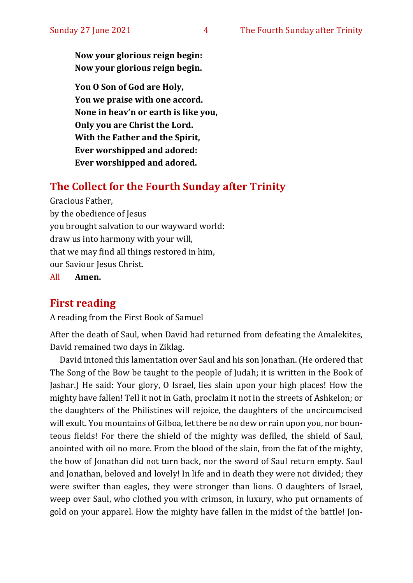**Now your glorious reign begin: Now your glorious reign begin.**

**You O Son of God are Holy, You we praise with one accord. None in heav'n or earth is like you, Only you are Christ the Lord. With the Father and the Spirit, Ever worshipped and adored: Ever worshipped and adored.**

# **The Collect for the Fourth Sunday after Trinity**

Gracious Father, by the obedience of Jesus you brought salvation to our wayward world: draw us into harmony with your will, that we may find all things restored in him, our Saviour Jesus Christ.

All **Amen.**

# **First reading**

A reading from the First Book of Samuel

After the death of Saul, when David had returned from defeating the Amalekites, David remained two days in Ziklag.

David intoned this lamentation over Saul and his son Jonathan. (He ordered that The Song of the Bow be taught to the people of Judah; it is written in the Book of Jashar.) He said: Your glory, O Israel, lies slain upon your high places! How the mighty have fallen! Tell it not in Gath, proclaim it not in the streets of Ashkelon; or the daughters of the Philistines will rejoice, the daughters of the uncircumcised will exult. You mountains of Gilboa, let there be no dew or rain upon you, nor bounteous fields! For there the shield of the mighty was defiled, the shield of Saul, anointed with oil no more. From the blood of the slain, from the fat of the mighty, the bow of Jonathan did not turn back, nor the sword of Saul return empty. Saul and Jonathan, beloved and lovely! In life and in death they were not divided; they were swifter than eagles, they were stronger than lions. O daughters of Israel, weep over Saul, who clothed you with crimson, in luxury, who put ornaments of gold on your apparel. How the mighty have fallen in the midst of the battle! Jon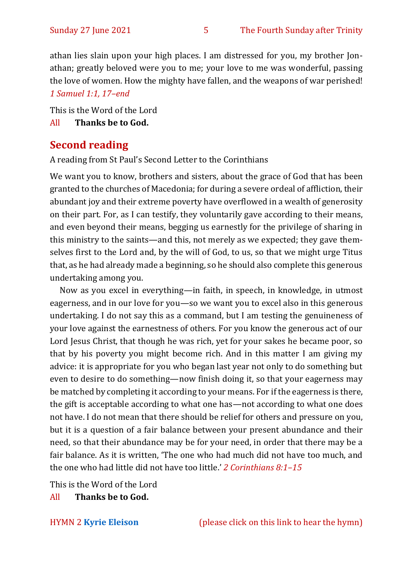athan lies slain upon your high places. I am distressed for you, my brother Jonathan; greatly beloved were you to me; your love to me was wonderful, passing the love of women. How the mighty have fallen, and the weapons of war perished! *1 Samuel 1:1, 17–end*

This is the Word of the Lord

All **Thanks be to God.**

# **Second reading**

A reading from St Paul's Second Letter to the Corinthians

We want you to know, brothers and sisters, about the grace of God that has been granted to the churches of Macedonia; for during a severe ordeal of affliction, their abundant joy and their extreme poverty have overflowed in a wealth of generosity on their part. For, as I can testify, they voluntarily gave according to their means, and even beyond their means, begging us earnestly for the privilege of sharing in this ministry to the saints—and this, not merely as we expected; they gave themselves first to the Lord and, by the will of God, to us, so that we might urge Titus that, as he had already made a beginning, so he should also complete this generous undertaking among you.

Now as you excel in everything—in faith, in speech, in knowledge, in utmost eagerness, and in our love for you—so we want you to excel also in this generous undertaking. I do not say this as a command, but I am testing the genuineness of your love against the earnestness of others. For you know the generous act of our Lord Jesus Christ, that though he was rich, yet for your sakes he became poor, so that by his poverty you might become rich. And in this matter I am giving my advice: it is appropriate for you who began last year not only to do something but even to desire to do something—now finish doing it, so that your eagerness may be matched by completing it according to your means. For if the eagerness is there, the gift is acceptable according to what one has—not according to what one does not have. I do not mean that there should be relief for others and pressure on you, but it is a question of a fair balance between your present abundance and their need, so that their abundance may be for your need, in order that there may be a fair balance. As it is written, 'The one who had much did not have too much, and the one who had little did not have too little.' *2 Corinthians 8:1–15*

This is the Word of the Lord

All **Thanks be to God.**

HYMN 2 **[Kyrie Eleison](https://www.youtube.com/watch?v=mAZC4oe9VM0)** (please click on this link to hear the hymn)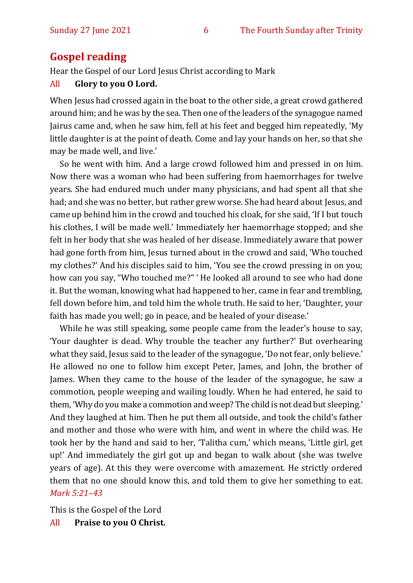# **Gospel reading**

Hear the Gospel of our Lord Jesus Christ according to Mark

#### All **Glory to you O Lord.**

When Jesus had crossed again in the boat to the other side, a great crowd gathered around him; and he was by the sea. Then one of the leaders of the synagogue named Jairus came and, when he saw him, fell at his feet and begged him repeatedly, 'My little daughter is at the point of death. Come and lay your hands on her, so that she may be made well, and live.'

So he went with him. And a large crowd followed him and pressed in on him. Now there was a woman who had been suffering from haemorrhages for twelve years. She had endured much under many physicians, and had spent all that she had; and she was no better, but rather grew worse. She had heard about Jesus, and came up behind him in the crowd and touched his cloak, for she said, 'If I but touch his clothes, I will be made well.' Immediately her haemorrhage stopped; and she felt in her body that she was healed of her disease. Immediately aware that power had gone forth from him, Jesus turned about in the crowd and said, 'Who touched my clothes?' And his disciples said to him, 'You see the crowd pressing in on you; how can you say, "Who touched me?" ' He looked all around to see who had done it. But the woman, knowing what had happened to her, came in fear and trembling, fell down before him, and told him the whole truth. He said to her, 'Daughter, your faith has made you well; go in peace, and be healed of your disease.'

While he was still speaking, some people came from the leader's house to say, 'Your daughter is dead. Why trouble the teacher any further?' But overhearing what they said, Jesus said to the leader of the synagogue, 'Do not fear, only believe.' He allowed no one to follow him except Peter, James, and John, the brother of James. When they came to the house of the leader of the synagogue, he saw a commotion, people weeping and wailing loudly. When he had entered, he said to them, 'Why do you make a commotion and weep? The child is not dead but sleeping.' And they laughed at him. Then he put them all outside, and took the child's father and mother and those who were with him, and went in where the child was. He took her by the hand and said to her, 'Talitha cum,' which means, 'Little girl, get up!' And immediately the girl got up and began to walk about (she was twelve years of age). At this they were overcome with amazement. He strictly ordered them that no one should know this, and told them to give her something to eat. *Mark 5:21–43*

This is the Gospel of the Lord

All **Praise to you O Christ.**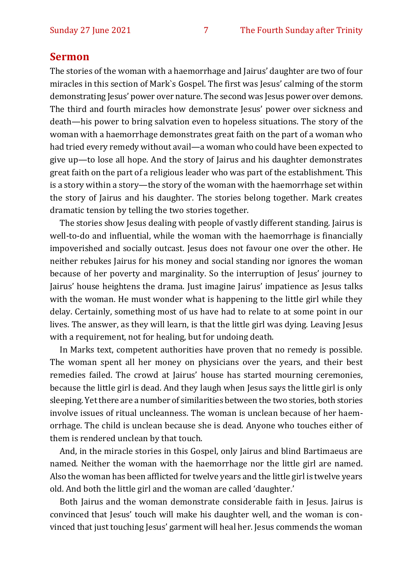#### **Sermon**

The stories of the woman with a haemorrhage and Jairus' daughter are two of four miracles in this section of Mark`s Gospel. The first was Jesus' calming of the storm demonstrating Jesus' power over nature. The second was Jesus power over demons. The third and fourth miracles how demonstrate Jesus' power over sickness and death—his power to bring salvation even to hopeless situations. The story of the woman with a haemorrhage demonstrates great faith on the part of a woman who had tried every remedy without avail—a woman who could have been expected to give up—to lose all hope. And the story of Jairus and his daughter demonstrates great faith on the part of a religious leader who was part of the establishment. This is a story within a story—the story of the woman with the haemorrhage set within the story of Jairus and his daughter. The stories belong together. Mark creates dramatic tension by telling the two stories together.

The stories show Jesus dealing with people of vastly different standing. Jairus is well-to-do and influential, while the woman with the haemorrhage is financially impoverished and socially outcast. Jesus does not favour one over the other. He neither rebukes Jairus for his money and social standing nor ignores the woman because of her poverty and marginality. So the interruption of Jesus' journey to Jairus' house heightens the drama. Just imagine Jairus' impatience as Jesus talks with the woman. He must wonder what is happening to the little girl while they delay. Certainly, something most of us have had to relate to at some point in our lives. The answer, as they will learn, is that the little girl was dying. Leaving Jesus with a requirement, not for healing, but for undoing death.

In Marks text, competent authorities have proven that no remedy is possible. The woman spent all her money on physicians over the years, and their best remedies failed. The crowd at Jairus' house has started mourning ceremonies, because the little girl is dead. And they laugh when Jesus says the little girl is only sleeping. Yet there are a number of similarities between the two stories, both stories involve issues of ritual uncleanness. The woman is unclean because of her haemorrhage. The child is unclean because she is dead. Anyone who touches either of them is rendered unclean by that touch.

And, in the miracle stories in this Gospel, only Jairus and blind Bartimaeus are named. Neither the woman with the haemorrhage nor the little girl are named. Also the woman has been afflicted for twelve years and the little girl is twelve years old. And both the little girl and the woman are called 'daughter.'

Both Jairus and the woman demonstrate considerable faith in Jesus. Jairus is convinced that Jesus' touch will make his daughter well, and the woman is convinced that just touching Jesus' garment will heal her. Jesus commends the woman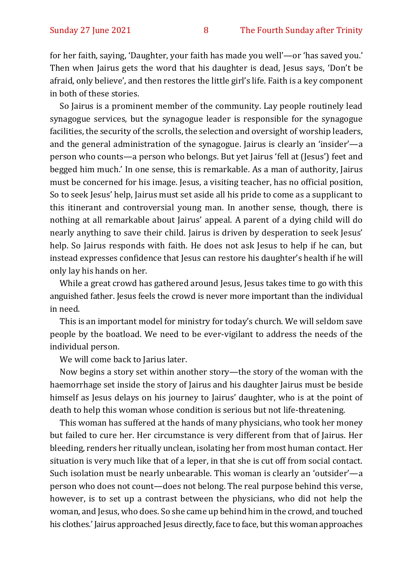for her faith, saying, 'Daughter, your faith has made you well'—or 'has saved you.' Then when Jairus gets the word that his daughter is dead, Jesus says, 'Don't be afraid, only believe', and then restores the little girl's life. Faith is a key component in both of these stories.

So Jairus is a prominent member of the community. Lay people routinely lead synagogue services, but the synagogue leader is responsible for the synagogue facilities, the security of the scrolls, the selection and oversight of worship leaders, and the general administration of the synagogue. Jairus is clearly an 'insider'—a person who counts—a person who belongs. But yet Jairus 'fell at (Jesus') feet and begged him much.' In one sense, this is remarkable. As a man of authority, Jairus must be concerned for his image. Jesus, a visiting teacher, has no official position, So to seek Jesus' help, Jairus must set aside all his pride to come as a supplicant to this itinerant and controversial young man. In another sense, though, there is nothing at all remarkable about Jairus' appeal. A parent of a dying child will do nearly anything to save their child. Jairus is driven by desperation to seek Jesus' help. So Jairus responds with faith. He does not ask Jesus to help if he can, but instead expresses confidence that Jesus can restore his daughter's health if he will only lay his hands on her.

While a great crowd has gathered around Jesus, Jesus takes time to go with this anguished father. Jesus feels the crowd is never more important than the individual in need.

This is an important model for ministry for today's church. We will seldom save people by the boatload. We need to be ever-vigilant to address the needs of the individual person.

We will come back to Jarius later.

Now begins a story set within another story—the story of the woman with the haemorrhage set inside the story of Jairus and his daughter Jairus must be beside himself as Jesus delays on his journey to Jairus' daughter, who is at the point of death to help this woman whose condition is serious but not life-threatening.

This woman has suffered at the hands of many physicians, who took her money but failed to cure her. Her circumstance is very different from that of Jairus. Her bleeding, renders her ritually unclean, isolating her from most human contact. Her situation is very much like that of a leper, in that she is cut off from social contact. Such isolation must be nearly unbearable. This woman is clearly an 'outsider'—a person who does not count—does not belong. The real purpose behind this verse, however, is to set up a contrast between the physicians, who did not help the woman, and Jesus, who does. So she came up behind him in the crowd, and touched his clothes.' Jairus approached Jesus directly, face to face, but this woman approaches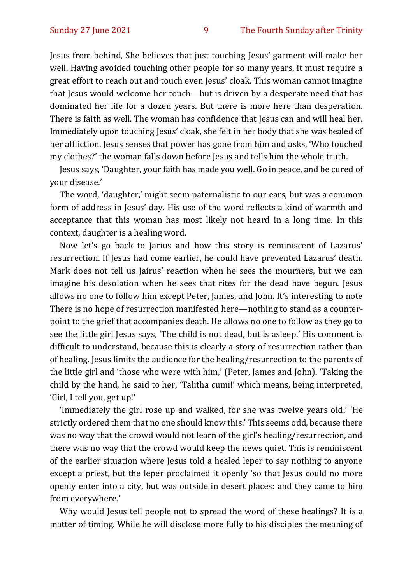Jesus from behind, She believes that just touching Jesus' garment will make her well. Having avoided touching other people for so many years, it must require a great effort to reach out and touch even Jesus' cloak. This woman cannot imagine that Jesus would welcome her touch—but is driven by a desperate need that has dominated her life for a dozen years. But there is more here than desperation. There is faith as well. The woman has confidence that Jesus can and will heal her. Immediately upon touching Jesus' cloak, she felt in her body that she was healed of her affliction. Jesus senses that power has gone from him and asks, 'Who touched my clothes?' the woman falls down before Jesus and tells him the whole truth.

Jesus says, 'Daughter, your faith has made you well. Go in peace, and be cured of your disease.'

The word, 'daughter,' might seem paternalistic to our ears, but was a common form of address in Jesus' day. His use of the word reflects a kind of warmth and acceptance that this woman has most likely not heard in a long time. In this context, daughter is a healing word.

Now let's go back to Jarius and how this story is reminiscent of Lazarus' resurrection. If Jesus had come earlier, he could have prevented Lazarus' death. Mark does not tell us Jairus' reaction when he sees the mourners, but we can imagine his desolation when he sees that rites for the dead have begun. Jesus allows no one to follow him except Peter, James, and John. It's interesting to note There is no hope of resurrection manifested here—nothing to stand as a counterpoint to the grief that accompanies death. He allows no one to follow as they go to see the little girl Jesus says, 'The child is not dead, but is asleep.' His comment is difficult to understand, because this is clearly a story of resurrection rather than of healing. Jesus limits the audience for the healing/resurrection to the parents of the little girl and 'those who were with him,' (Peter, James and John). 'Taking the child by the hand, he said to her, 'Talitha cumi!' which means, being interpreted, 'Girl, I tell you, get up!'

'Immediately the girl rose up and walked, for she was twelve years old.' 'He strictly ordered them that no one should know this.' This seems odd, because there was no way that the crowd would not learn of the girl's healing/resurrection, and there was no way that the crowd would keep the news quiet. This is reminiscent of the earlier situation where Jesus told a healed leper to say nothing to anyone except a priest, but the leper proclaimed it openly 'so that Jesus could no more openly enter into a city, but was outside in desert places: and they came to him from everywhere.'

Why would Jesus tell people not to spread the word of these healings? It is a matter of timing. While he will disclose more fully to his disciples the meaning of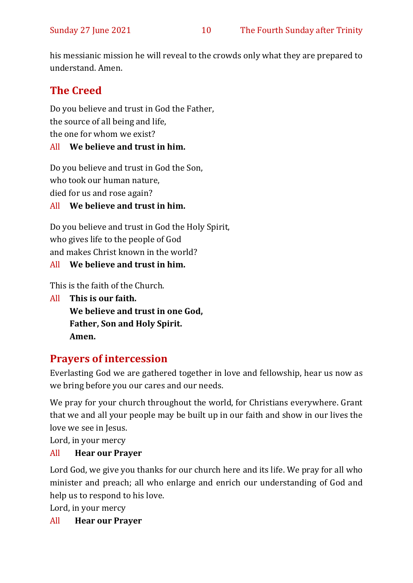his messianic mission he will reveal to the crowds only what they are prepared to understand. Amen.

# **The Creed**

Do you believe and trust in God the Father, the source of all being and life, the one for whom we exist?

# All **We believe and trust in him.**

Do you believe and trust in God the Son, who took our human nature, died for us and rose again?

All **We believe and trust in him.**

Do you believe and trust in God the Holy Spirit, who gives life to the people of God and makes Christ known in the world?

#### All **We believe and trust in him.**

This is the faith of the Church.

All **This is our faith. We believe and trust in one God, Father, Son and Holy Spirit. Amen.**

# **Prayers of intercession**

Everlasting God we are gathered together in love and fellowship, hear us now as we bring before you our cares and our needs.

We pray for your church throughout the world, for Christians everywhere. Grant that we and all your people may be built up in our faith and show in our lives the love we see in Jesus.

Lord, in your mercy

#### All **Hear our Prayer**

Lord God, we give you thanks for our church here and its life. We pray for all who minister and preach; all who enlarge and enrich our understanding of God and help us to respond to his love.

Lord, in your mercy

All **Hear our Prayer**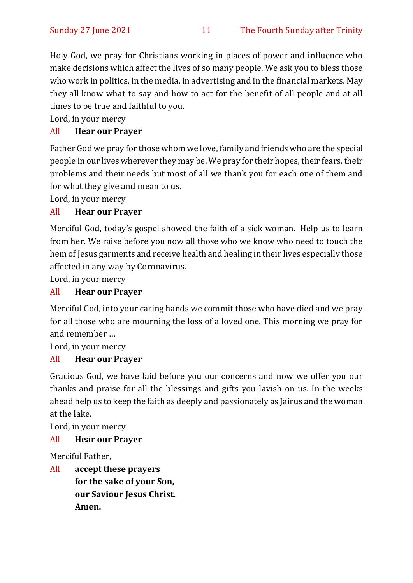Holy God, we pray for Christians working in places of power and influence who make decisions which affect the lives of so many people. We ask you to bless those who work in politics, in the media, in advertising and in the financial markets. May they all know what to say and how to act for the benefit of all people and at all times to be true and faithful to you.

Lord, in your mercy

#### All **Hear our Prayer**

Father God we pray for those whom we love, family and friends who are the special people in our lives wherever they may be. We pray for their hopes, their fears, their problems and their needs but most of all we thank you for each one of them and for what they give and mean to us.

Lord, in your mercy

#### All **Hear our Prayer**

Merciful God, today's gospel showed the faith of a sick woman. Help us to learn from her. We raise before you now all those who we know who need to touch the hem of Jesus garments and receive health and healing in their lives especially those affected in any way by Coronavirus.

Lord, in your mercy

#### All **Hear our Prayer**

Merciful God, into your caring hands we commit those who have died and we pray for all those who are mourning the loss of a loved one. This morning we pray for and remember …

Lord, in your mercy

#### All **Hear our Prayer**

Gracious God, we have laid before you our concerns and now we offer you our thanks and praise for all the blessings and gifts you lavish on us. In the weeks ahead help us to keep the faith as deeply and passionately as Jairus and the woman at the lake.

Lord, in your mercy

#### All **Hear our Prayer**

Merciful Father,

All **accept these prayers for the sake of your Son, our Saviour Jesus Christ. Amen.**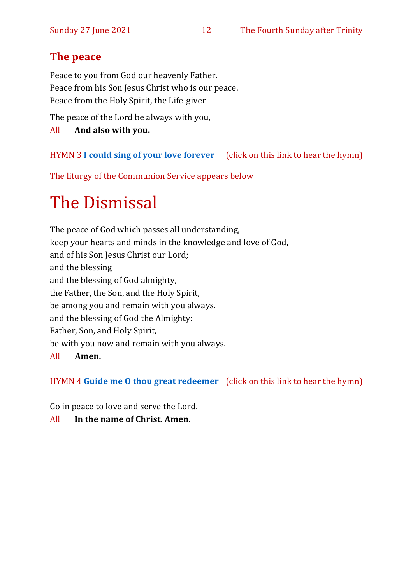# **The peace**

Peace to you from God our heavenly Father. Peace from his Son Jesus Christ who is our peace. Peace from the Holy Spirit, the Life-giver

The peace of the Lord be always with you,

All **And also with you.**

HYMN 3 **[I could sing of your love forever](https://www.youtube.com/watch?v=zeCwwaciAA8)** (click on this link to hear the hymn)

The liturgy of the Communion Service appears below

# The Dismissal

The peace of God which passes all understanding, keep your hearts and minds in the knowledge and love of God, and of his Son Jesus Christ our Lord; and the blessing and the blessing of God almighty, the Father, the Son, and the Holy Spirit, be among you and remain with you always. and the blessing of God the Almighty: Father, Son, and Holy Spirit, be with you now and remain with you always. All **Amen.**

HYMN 4 **[Guide me O thou great redeemer](https://www.youtube.com/watch?v=Ofp6rdAgRrY)** (click on this link to hear the hymn)

Go in peace to love and serve the Lord.

All **In the name of Christ. Amen.**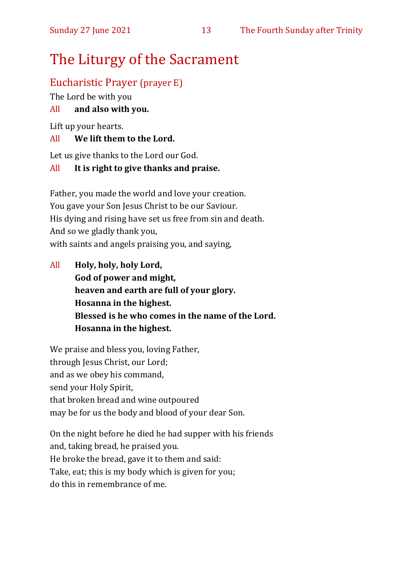# The Liturgy of the Sacrament

# Eucharistic Prayer (prayer E)

The Lord be with you

# All **and also with you.**

Lift up your hearts.

#### All **We lift them to the Lord.**

Let us give thanks to the Lord our God.

### All **It is right to give thanks and praise.**

Father, you made the world and love your creation. You gave your Son Jesus Christ to be our Saviour. His dying and rising have set us free from sin and death. And so we gladly thank you, with saints and angels praising you, and saying,

All **Holy, holy, holy Lord, God of power and might, heaven and earth are full of your glory. Hosanna in the highest. Blessed is he who comes in the name of the Lord. Hosanna in the highest.**

We praise and bless you, loving Father, through Jesus Christ, our Lord; and as we obey his command, send your Holy Spirit, that broken bread and wine outpoured may be for us the body and blood of your dear Son.

On the night before he died he had supper with his friends and, taking bread, he praised you. He broke the bread, gave it to them and said: Take, eat; this is my body which is given for you; do this in remembrance of me.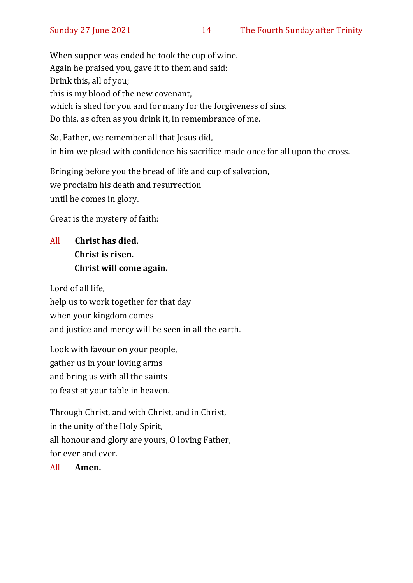When supper was ended he took the cup of wine. Again he praised you, gave it to them and said: Drink this, all of you; this is my blood of the new covenant, which is shed for you and for many for the forgiveness of sins. Do this, as often as you drink it, in remembrance of me.

So, Father, we remember all that Jesus did, in him we plead with confidence his sacrifice made once for all upon the cross.

Bringing before you the bread of life and cup of salvation, we proclaim his death and resurrection until he comes in glory.

Great is the mystery of faith:

# All **Christ has died. Christ is risen. Christ will come again.**

Lord of all life, help us to work together for that day when your kingdom comes and justice and mercy will be seen in all the earth.

Look with favour on your people, gather us in your loving arms and bring us with all the saints to feast at your table in heaven.

Through Christ, and with Christ, and in Christ, in the unity of the Holy Spirit, all honour and glory are yours, O loving Father, for ever and ever.

All **Amen.**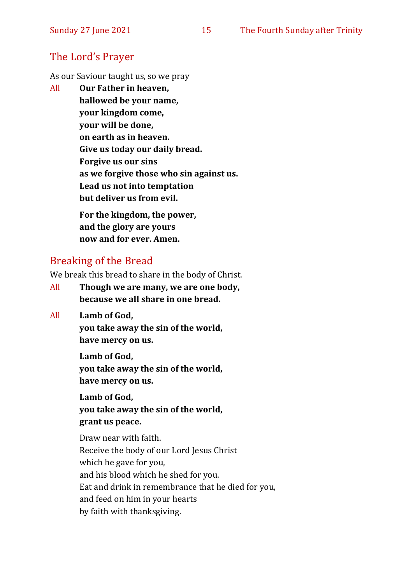# The Lord's Prayer

As our Saviour taught us, so we pray

All **Our Father in heaven, hallowed be your name, your kingdom come, your will be done, on earth as in heaven. Give us today our daily bread. Forgive us our sins as we forgive those who sin against us. Lead us not into temptation but deliver us from evil. For the kingdom, the power,** 

**and the glory are yours now and for ever. Amen.**

# Breaking of the Bread

We break this bread to share in the body of Christ.

- All **Though we are many, we are one body, because we all share in one bread.**
- All **Lamb of God,**

**you take away the sin of the world, have mercy on us.**

**Lamb of God, you take away the sin of the world, have mercy on us.**

**Lamb of God, you take away the sin of the world, grant us peace.**

Draw near with faith. Receive the body of our Lord Jesus Christ which he gave for you, and his blood which he shed for you. Eat and drink in remembrance that he died for you, and feed on him in your hearts by faith with thanksgiving.